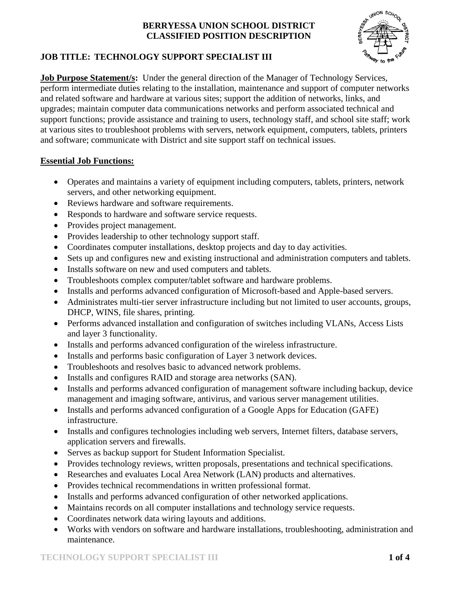

# **JOB TITLE: TECHNOLOGY SUPPORT SPECIALIST III**

**Job Purpose Statement/s:** Under the general direction of the Manager of Technology Services, perform intermediate duties relating to the installation, maintenance and support of computer networks and related software and hardware at various sites; support the addition of networks, links, and upgrades; maintain computer data communications networks and perform associated technical and support functions; provide assistance and training to users, technology staff, and school site staff; work at various sites to troubleshoot problems with servers, network equipment, computers, tablets, printers and software; communicate with District and site support staff on technical issues.

#### **Essential Job Functions:**

- Operates and maintains a variety of equipment including computers, tablets, printers, network servers, and other networking equipment.
- Reviews hardware and software requirements.
- Responds to hardware and software service requests.
- Provides project management.
- Provides leadership to other technology support staff.
- Coordinates computer installations, desktop projects and day to day activities.
- Sets up and configures new and existing instructional and administration computers and tablets.
- Installs software on new and used computers and tablets.
- Troubleshoots complex computer/tablet software and hardware problems.
- Installs and performs advanced configuration of Microsoft-based and Apple-based servers.
- Administrates multi-tier server infrastructure including but not limited to user accounts, groups, DHCP, WINS, file shares, printing.
- Performs advanced installation and configuration of switches including VLANs, Access Lists and layer 3 functionality.
- Installs and performs advanced configuration of the wireless infrastructure.
- Installs and performs basic configuration of Layer 3 network devices.
- Troubleshoots and resolves basic to advanced network problems.
- Installs and configures RAID and storage area networks (SAN).
- Installs and performs advanced configuration of management software including backup, device management and imaging software, antivirus, and various server management utilities.
- Installs and performs advanced configuration of a Google Apps for Education (GAFE) infrastructure.
- Installs and configures technologies including web servers, Internet filters, database servers, application servers and firewalls.
- Serves as backup support for Student Information Specialist.
- Provides technology reviews, written proposals, presentations and technical specifications.
- Researches and evaluates Local Area Network (LAN) products and alternatives.
- Provides technical recommendations in written professional format.
- Installs and performs advanced configuration of other networked applications.
- Maintains records on all computer installations and technology service requests.
- Coordinates network data wiring layouts and additions.
- Works with vendors on software and hardware installations, troubleshooting, administration and maintenance.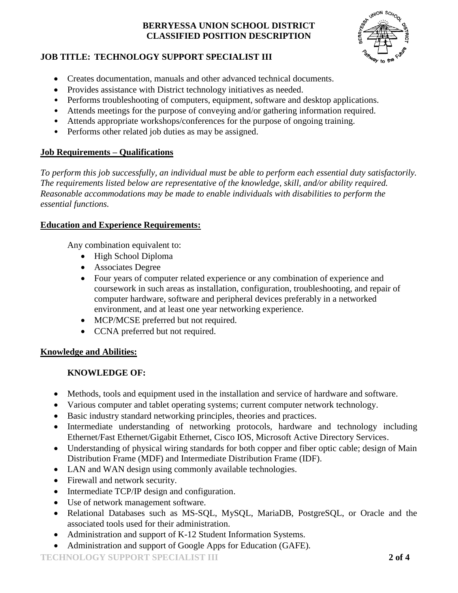

# **JOB TITLE: TECHNOLOGY SUPPORT SPECIALIST III**

- Creates documentation, manuals and other advanced technical documents.
- Provides assistance with District technology initiatives as needed.
- Performs troubleshooting of computers, equipment, software and desktop applications.
- Attends meetings for the purpose of conveying and/or gathering information required.
- Attends appropriate workshops/conferences for the purpose of ongoing training.
- Performs other related job duties as may be assigned.

#### **Job Requirements – Qualifications**

*To perform this job successfully, an individual must be able to perform each essential duty satisfactorily. The requirements listed below are representative of the knowledge, skill, and/or ability required. Reasonable accommodations may be made to enable individuals with disabilities to perform the essential functions.*

#### **Education and Experience Requirements:**

Any combination equivalent to:

- High School Diploma
- Associates Degree
- Four years of computer related experience or any combination of experience and coursework in such areas as installation, configuration, troubleshooting, and repair of computer hardware, software and peripheral devices preferably in a networked environment, and at least one year networking experience.
- MCP/MCSE preferred but not required.
- CCNA preferred but not required.

# **Knowledge and Abilities:**

# **KNOWLEDGE OF:**

- Methods, tools and equipment used in the installation and service of hardware and software.
- Various computer and tablet operating systems; current computer network technology.
- Basic industry standard networking principles, theories and practices.
- Intermediate understanding of networking protocols, hardware and technology including Ethernet/Fast Ethernet/Gigabit Ethernet, Cisco IOS, Microsoft Active Directory Services.
- Understanding of physical wiring standards for both copper and fiber optic cable; design of Main Distribution Frame (MDF) and Intermediate Distribution Frame (IDF).
- LAN and WAN design using commonly available technologies.
- Firewall and network security.
- Intermediate TCP/IP design and configuration.
- Use of network management software.
- Relational Databases such as MS-SQL, MySQL, MariaDB, PostgreSQL, or Oracle and the associated tools used for their administration.
- Administration and support of K-12 Student Information Systems.
- Administration and support of Google Apps for Education (GAFE).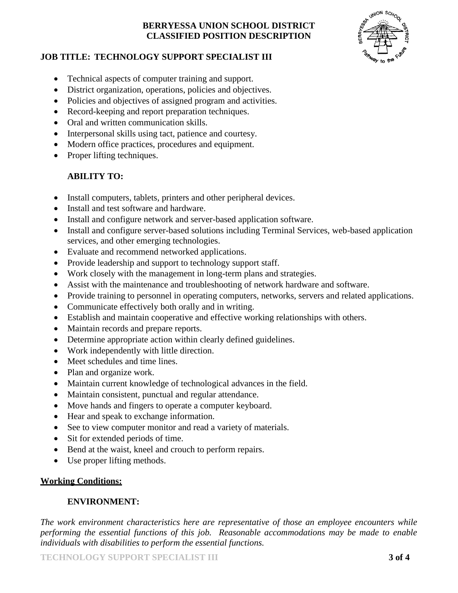

#### **JOB TITLE: TECHNOLOGY SUPPORT SPECIALIST III**

- Technical aspects of computer training and support.
- District organization, operations, policies and objectives.
- Policies and objectives of assigned program and activities.
- Record-keeping and report preparation techniques.
- Oral and written communication skills.
- Interpersonal skills using tact, patience and courtesy.
- Modern office practices, procedures and equipment.
- Proper lifting techniques.

# **ABILITY TO:**

- Install computers, tablets, printers and other peripheral devices.
- Install and test software and hardware.
- Install and configure network and server-based application software.
- Install and configure server-based solutions including Terminal Services, web-based application services, and other emerging technologies.
- Evaluate and recommend networked applications.
- Provide leadership and support to technology support staff.
- Work closely with the management in long-term plans and strategies.
- Assist with the maintenance and troubleshooting of network hardware and software.
- Provide training to personnel in operating computers, networks, servers and related applications.
- Communicate effectively both orally and in writing.
- Establish and maintain cooperative and effective working relationships with others.
- Maintain records and prepare reports.
- Determine appropriate action within clearly defined guidelines.
- Work independently with little direction.
- Meet schedules and time lines.
- Plan and organize work.
- Maintain current knowledge of technological advances in the field.
- Maintain consistent, punctual and regular attendance.
- Move hands and fingers to operate a computer keyboard.
- Hear and speak to exchange information.
- See to view computer monitor and read a variety of materials.
- Sit for extended periods of time.
- Bend at the waist, kneel and crouch to perform repairs.
- Use proper lifting methods.

# **Working Conditions:**

# **ENVIRONMENT:**

*The work environment characteristics here are representative of those an employee encounters while performing the essential functions of this job. Reasonable accommodations may be made to enable individuals with disabilities to perform the essential functions.*